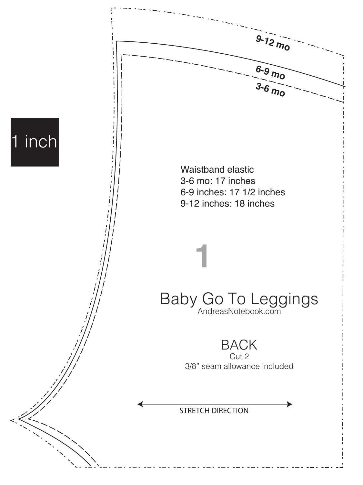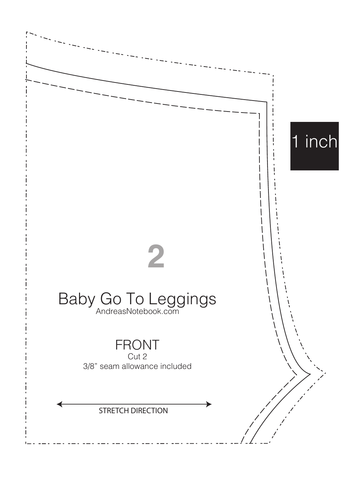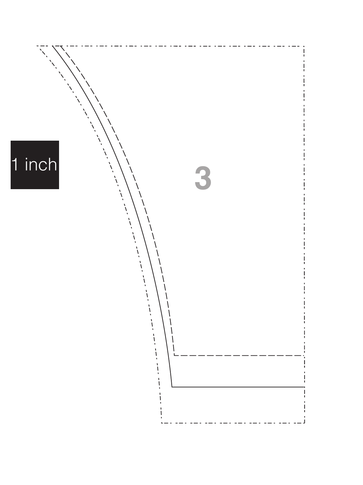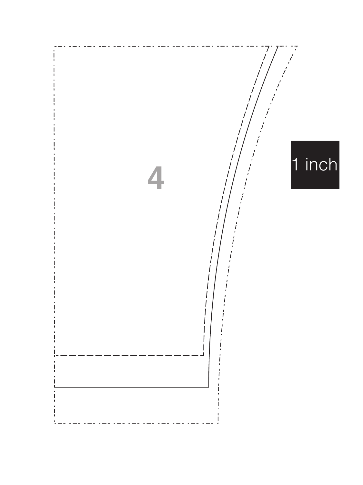![](_page_3_Picture_0.jpeg)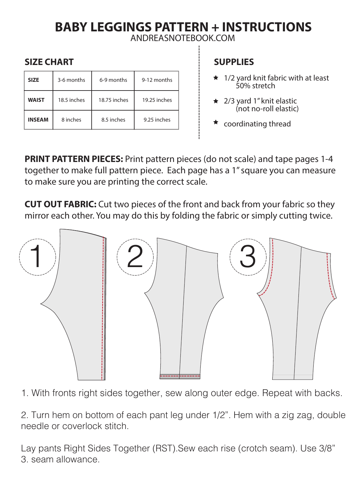## **BABY LEGGINGS PATTERN + INSTRUCTIONS**

ANDREASNOTEBOOK.COM

## **SIZE CHART**

| <b>SIZE</b>   | 3-6 months  | 6-9 months   | 9-12 months  |
|---------------|-------------|--------------|--------------|
| <b>WAIST</b>  | 18.5 inches | 18.75 inches | 19.25 inches |
| <b>INSEAM</b> | 8 inches    | 8.5 inches   | 9.25 inches  |

## **SUPPLIES**

- 1/2 yard knit fabric with at least 50% stretch
- $\star$  2/3 yard 1" knit elastic (not no-roll elastic)
- $\star$  coordinating thread

**PRINT PATTERN PIECES:** Print pattern pieces (do not scale) and tape pages 1-4 together to make full pattern piece. Each page has a 1" square you can measure to make sure you are printing the correct scale.

**CUT OUT FABRIC:** Cut two pieces of the front and back from your fabric so they mirror each other. You may do this by folding the fabric or simply cutting twice.

![](_page_4_Figure_10.jpeg)

1. With fronts right sides together, sew along outer edge. Repeat with backs.

2. Turn hem on bottom of each pant leg under 1/2". Hem with a zig zag, double needle or coverlock stitch.

Lay pants Right Sides Together (RST).Sew each rise (crotch seam). Use 3/8" 3. seam allowance.